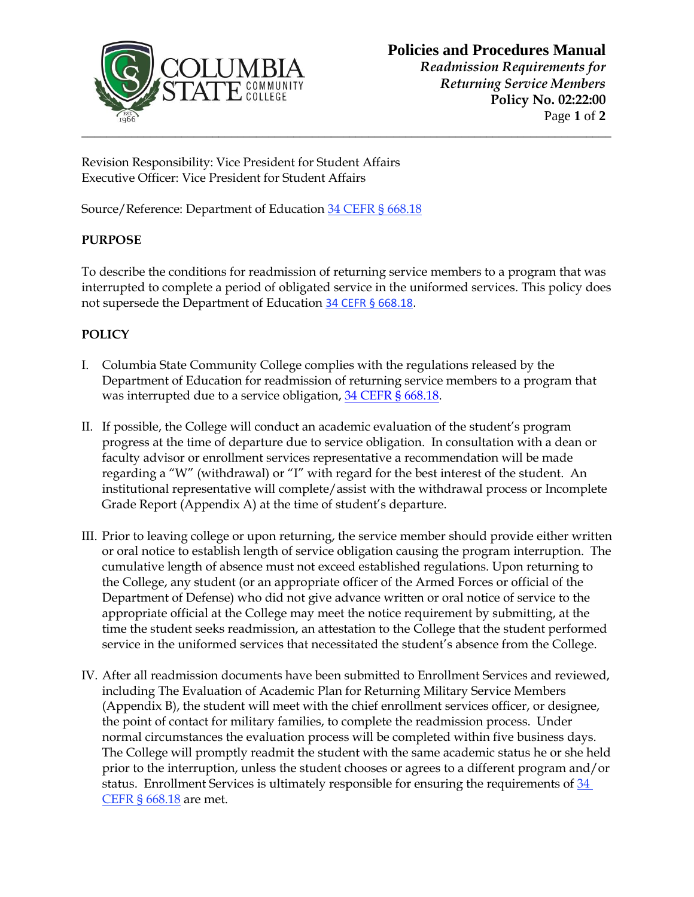

## **Policies and Procedures Manual**

*Readmission Requirements for Returning Service Members* **Policy No. 02:22:00** Page **1** of **2**

Revision Responsibility: Vice President for Student Affairs Executive Officer: Vice President for Student Affairs

Source/Reference: Department of Education [34 CEFR § 668.18](file:///C:/Users/aleslie1/Desktop/Policy%20&%20Procedures/34%20CER%20§%20668.18)

## **PURPOSE**

To describe the conditions for readmission of returning service members to a program that was interrupted to complete a period of obligated service in the uniformed services. This policy does not supersede the Department of Education [34 CEFR § 668.18.](file:///C:/Users/aleslie1/Desktop/Policy%20&%20Procedures/34%20CER%20§%20668.18)

## **POLICY**

- I. Columbia State Community College complies with the regulations released by the Department of Education for readmission of returning service members to a program that was interrupted due to a service obligation, [34 CEFR § 668.18.](file:///C:/Users/efleming/AppData/Local/Microsoft/Windows/Temporary%20Internet%20Files/Content.Outlook/SKKU72F9/34%20CER%20§%20668.18)
- II. If possible, the College will conduct an academic evaluation of the student's program progress at the time of departure due to service obligation. In consultation with a dean or faculty advisor or enrollment services representative a recommendation will be made regarding a "W" (withdrawal) or "I" with regard for the best interest of the student. An institutional representative will complete/assist with the withdrawal process or Incomplete Grade Report (Appendix A) at the time of student's departure.
- III. Prior to leaving college or upon returning, the service member should provide either written or oral notice to establish length of service obligation causing the program interruption. The cumulative length of absence must not exceed established regulations. Upon returning to the College, any student (or an appropriate officer of the Armed Forces or official of the Department of Defense) who did not give advance written or oral notice of service to the appropriate official at the College may meet the notice requirement by submitting, at the time the student seeks readmission, an attestation to the College that the student performed service in the uniformed services that necessitated the student's absence from the College.
- IV. After all readmission documents have been submitted to Enrollment Services and reviewed, including The Evaluation of Academic Plan for Returning Military Service Members (Appendix B), the student will meet with the chief enrollment services officer, or designee, the point of contact for military families, to complete the readmission process. Under normal circumstances the evaluation process will be completed within five business days. The College will promptly readmit the student with the same academic status he or she held prior to the interruption, unless the student chooses or agrees to a different program and/or status. Enrollment Services is ultimately responsible for ensuring the requirements of 34 [CEFR § 668.18](file:///C:/Users/aleslie1/Desktop/Policy%20&%20Procedures/34%20CER%20§%20668.18) are met.